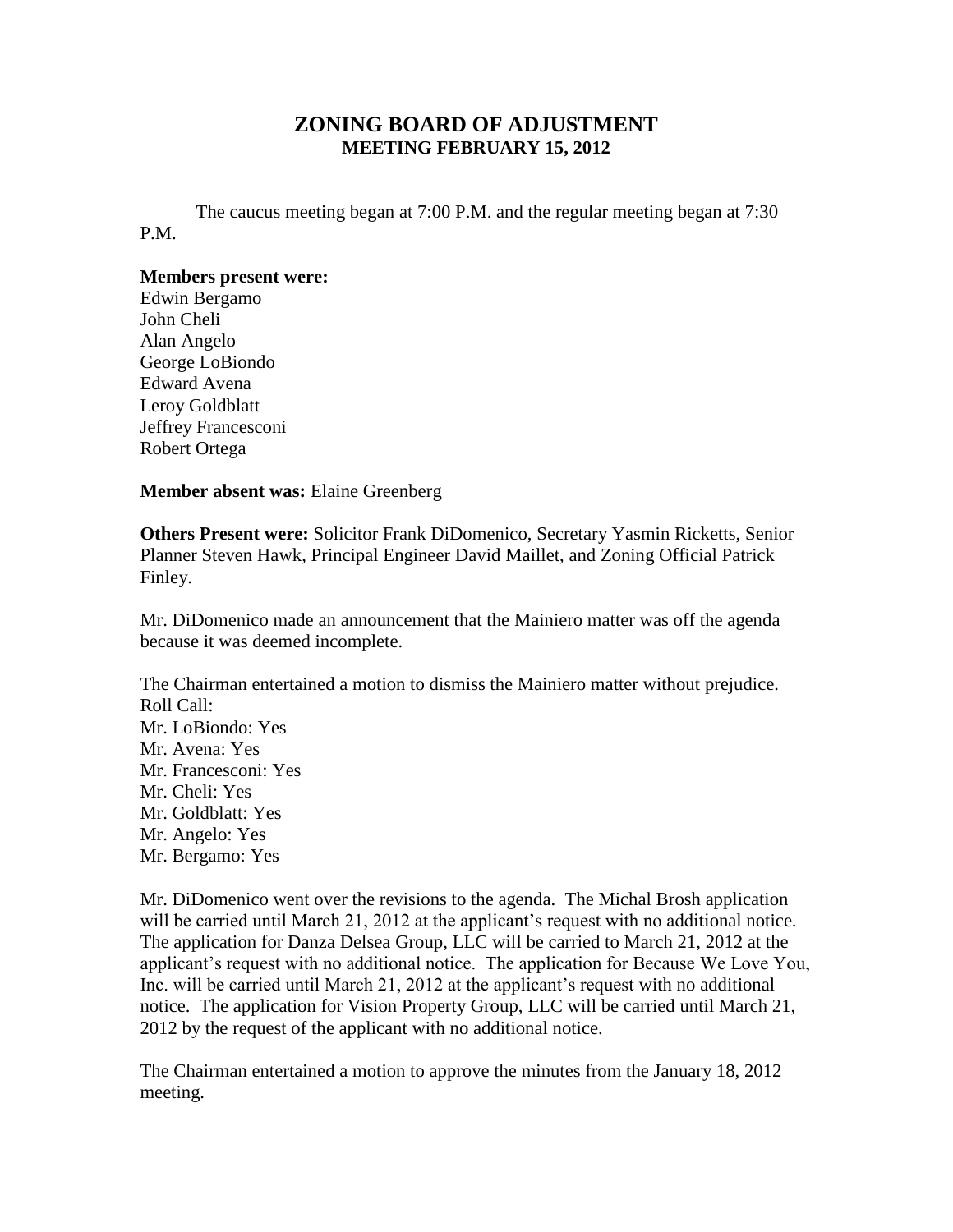## **ZONING BOARD OF ADJUSTMENT MEETING FEBRUARY 15, 2012**

The caucus meeting began at 7:00 P.M. and the regular meeting began at 7:30 P.M.

## **Members present were:**

Edwin Bergamo John Cheli Alan Angelo George LoBiondo Edward Avena Leroy Goldblatt Jeffrey Francesconi Robert Ortega

**Member absent was:** Elaine Greenberg

**Others Present were:** Solicitor Frank DiDomenico, Secretary Yasmin Ricketts, Senior Planner Steven Hawk, Principal Engineer David Maillet, and Zoning Official Patrick Finley.

Mr. DiDomenico made an announcement that the Mainiero matter was off the agenda because it was deemed incomplete.

The Chairman entertained a motion to dismiss the Mainiero matter without prejudice. Roll Call: Mr. LoBiondo: Yes Mr. Avena: Yes Mr. Francesconi: Yes Mr. Cheli: Yes Mr. Goldblatt: Yes Mr. Angelo: Yes Mr. Bergamo: Yes

Mr. DiDomenico went over the revisions to the agenda. The Michal Brosh application will be carried until March 21, 2012 at the applicant's request with no additional notice. The application for Danza Delsea Group, LLC will be carried to March 21, 2012 at the applicant's request with no additional notice. The application for Because We Love You, Inc. will be carried until March 21, 2012 at the applicant's request with no additional notice. The application for Vision Property Group, LLC will be carried until March 21, 2012 by the request of the applicant with no additional notice.

The Chairman entertained a motion to approve the minutes from the January 18, 2012 meeting.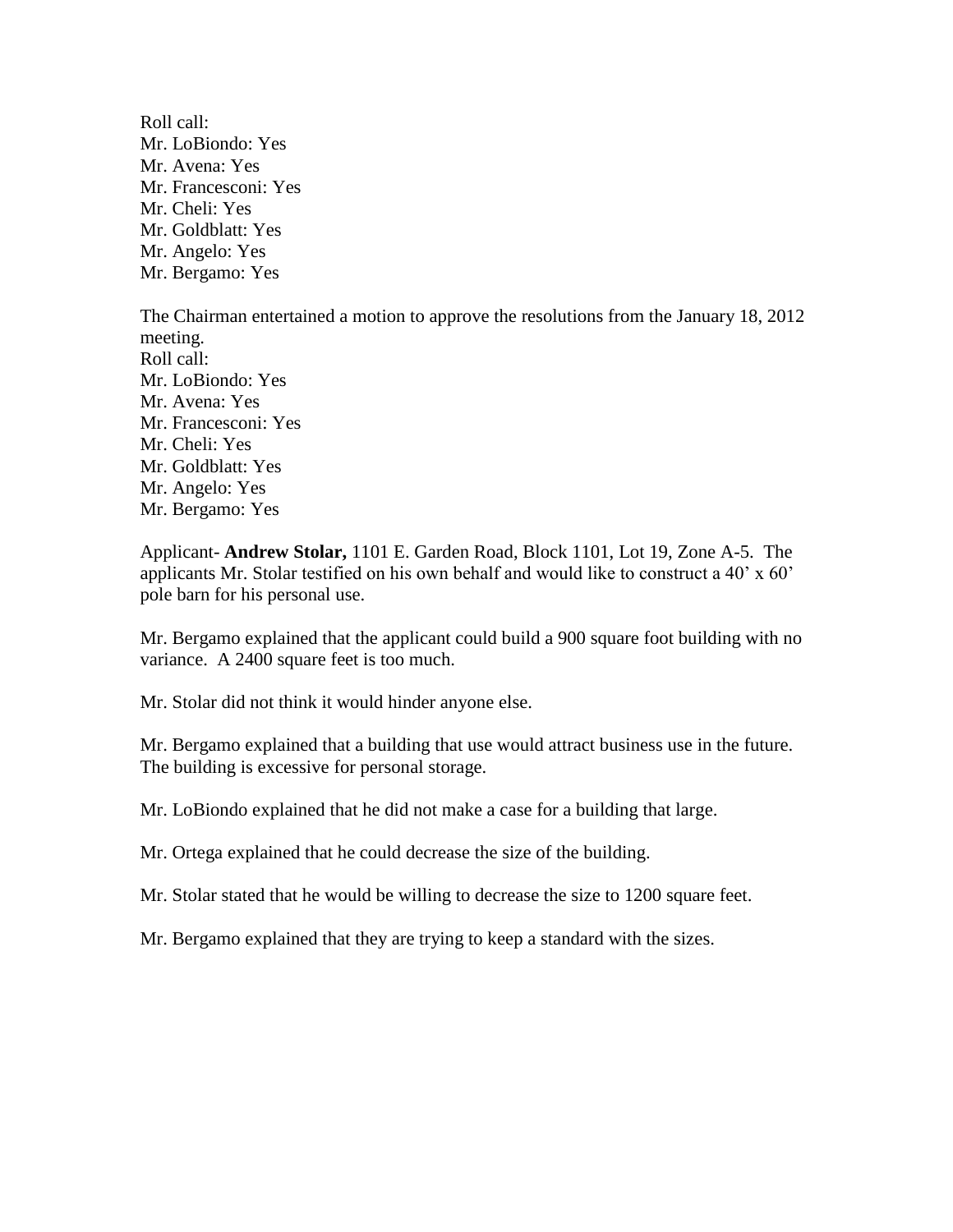Roll call: Mr. LoBiondo: Yes Mr. Avena: Yes Mr. Francesconi: Yes Mr. Cheli: Yes Mr. Goldblatt: Yes Mr. Angelo: Yes Mr. Bergamo: Yes

The Chairman entertained a motion to approve the resolutions from the January 18, 2012 meeting. Roll call: Mr. LoBiondo: Yes Mr. Avena: Yes Mr. Francesconi: Yes Mr. Cheli: Yes Mr. Goldblatt: Yes Mr. Angelo: Yes Mr. Bergamo: Yes

Applicant- **Andrew Stolar,** 1101 E. Garden Road, Block 1101, Lot 19, Zone A-5. The applicants Mr. Stolar testified on his own behalf and would like to construct a 40' x 60' pole barn for his personal use.

Mr. Bergamo explained that the applicant could build a 900 square foot building with no variance. A 2400 square feet is too much.

Mr. Stolar did not think it would hinder anyone else.

Mr. Bergamo explained that a building that use would attract business use in the future. The building is excessive for personal storage.

Mr. LoBiondo explained that he did not make a case for a building that large.

Mr. Ortega explained that he could decrease the size of the building.

Mr. Stolar stated that he would be willing to decrease the size to 1200 square feet.

Mr. Bergamo explained that they are trying to keep a standard with the sizes.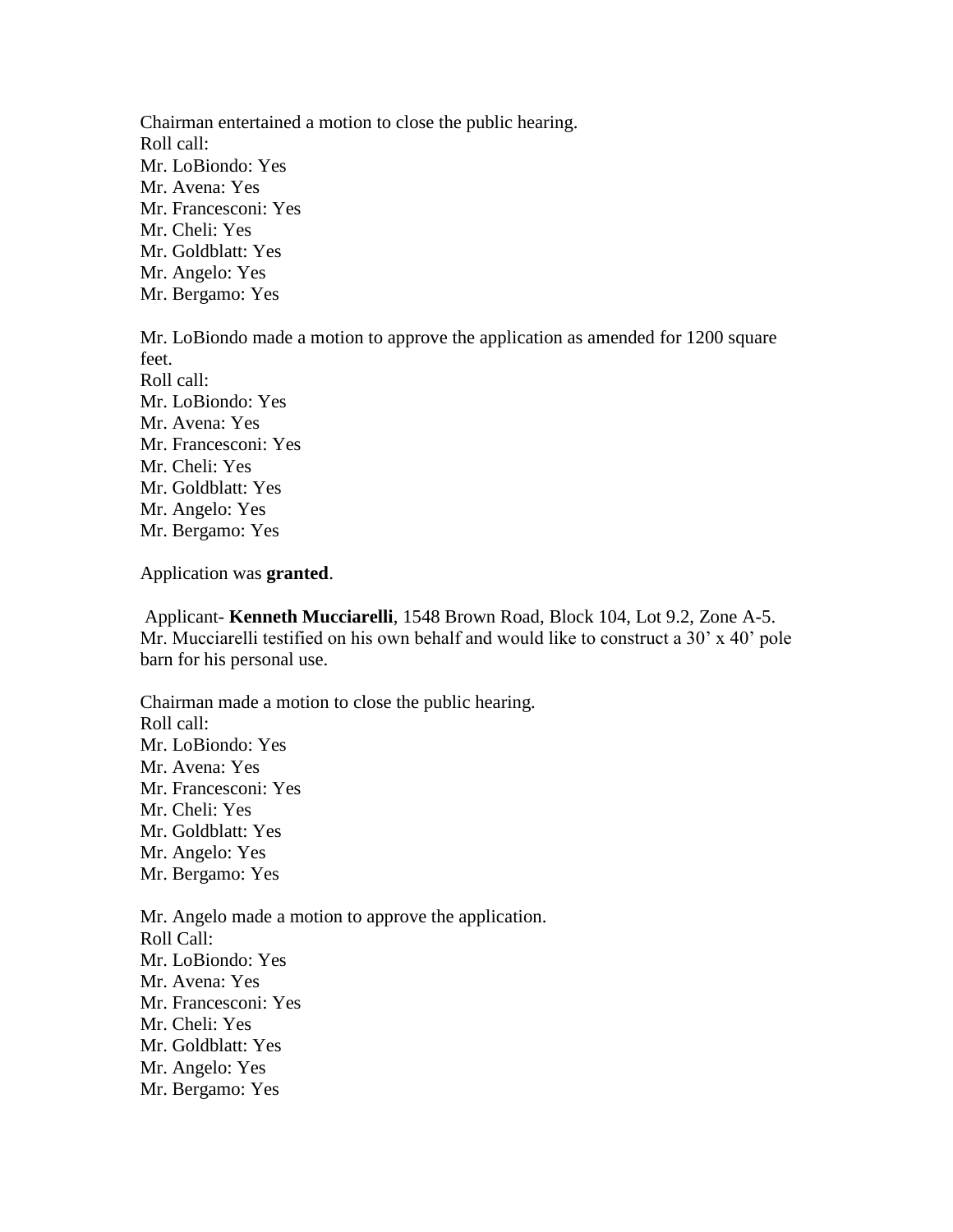Chairman entertained a motion to close the public hearing. Roll call: Mr. LoBiondo: Yes Mr. Avena: Yes Mr. Francesconi: Yes Mr. Cheli: Yes Mr. Goldblatt: Yes Mr. Angelo: Yes Mr. Bergamo: Yes

Mr. LoBiondo made a motion to approve the application as amended for 1200 square feet. Roll call: Mr. LoBiondo: Yes Mr. Avena: Yes Mr. Francesconi: Yes Mr. Cheli: Yes Mr. Goldblatt: Yes Mr. Angelo: Yes Mr. Bergamo: Yes

Application was **granted**.

Applicant- **Kenneth Mucciarelli**, 1548 Brown Road, Block 104, Lot 9.2, Zone A-5. Mr. Mucciarelli testified on his own behalf and would like to construct a 30' x 40' pole barn for his personal use.

Chairman made a motion to close the public hearing. Roll call: Mr. LoBiondo: Yes Mr. Avena: Yes Mr. Francesconi: Yes Mr. Cheli: Yes Mr. Goldblatt: Yes Mr. Angelo: Yes Mr. Bergamo: Yes

Mr. Angelo made a motion to approve the application. Roll Call: Mr. LoBiondo: Yes Mr. Avena: Yes Mr. Francesconi: Yes Mr. Cheli: Yes Mr. Goldblatt: Yes Mr. Angelo: Yes Mr. Bergamo: Yes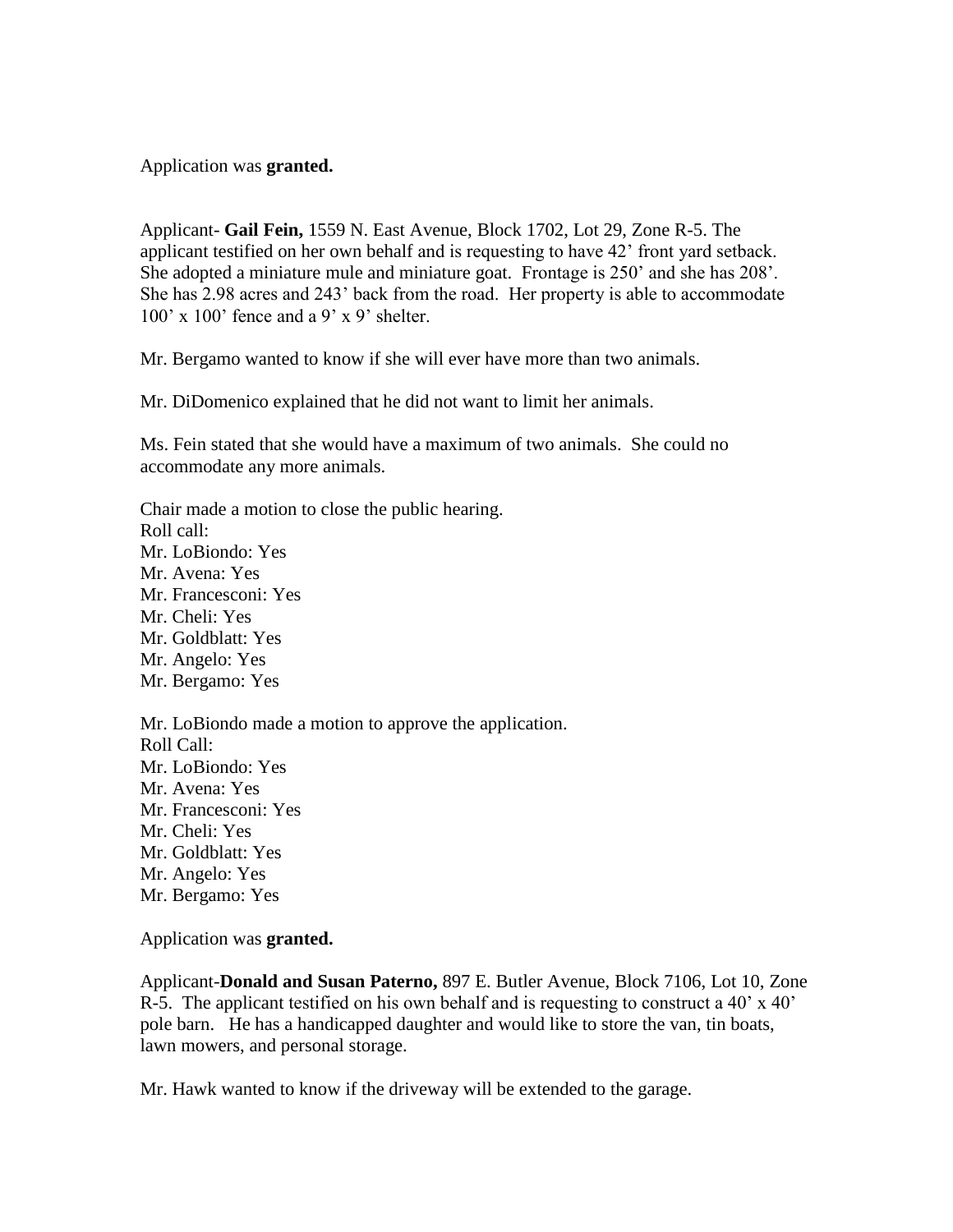Application was **granted.**

Applicant- **Gail Fein,** 1559 N. East Avenue, Block 1702, Lot 29, Zone R-5. The applicant testified on her own behalf and is requesting to have 42' front yard setback. She adopted a miniature mule and miniature goat. Frontage is 250' and she has 208'. She has 2.98 acres and 243' back from the road. Her property is able to accommodate  $100'$  x  $100'$  fence and a 9' x 9' shelter.

Mr. Bergamo wanted to know if she will ever have more than two animals.

Mr. DiDomenico explained that he did not want to limit her animals.

Ms. Fein stated that she would have a maximum of two animals. She could no accommodate any more animals.

Chair made a motion to close the public hearing. Roll call: Mr. LoBiondo: Yes Mr. Avena: Yes Mr. Francesconi: Yes Mr. Cheli: Yes Mr. Goldblatt: Yes Mr. Angelo: Yes Mr. Bergamo: Yes Mr. LoBiondo made a motion to approve the application.

Roll Call: Mr. LoBiondo: Yes Mr. Avena: Yes Mr. Francesconi: Yes Mr. Cheli: Yes Mr. Goldblatt: Yes Mr. Angelo: Yes Mr. Bergamo: Yes

Application was **granted.**

Applicant-**Donald and Susan Paterno,** 897 E. Butler Avenue, Block 7106, Lot 10, Zone R-5. The applicant testified on his own behalf and is requesting to construct a 40' x 40' pole barn. He has a handicapped daughter and would like to store the van, tin boats, lawn mowers, and personal storage.

Mr. Hawk wanted to know if the driveway will be extended to the garage.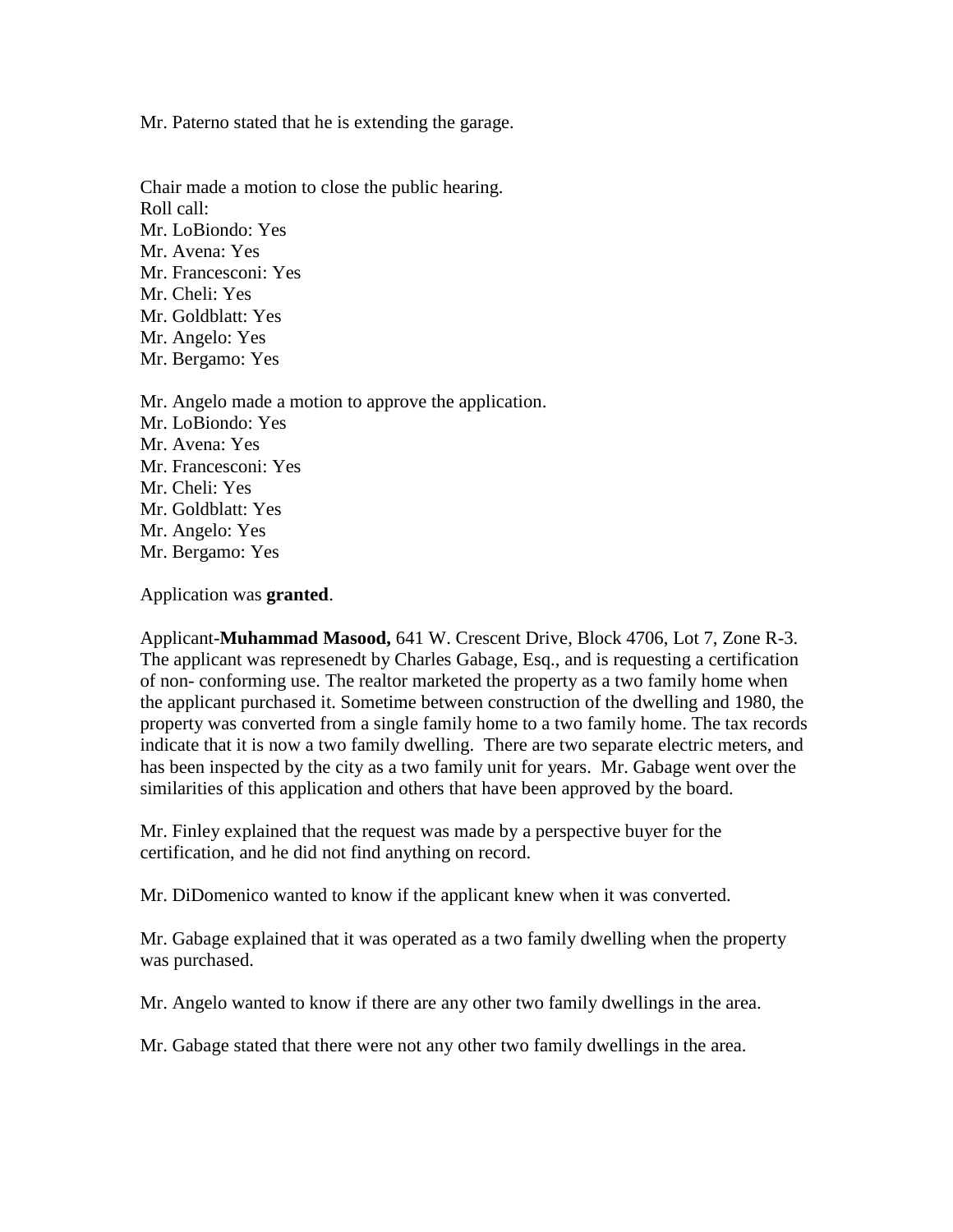Mr. Paterno stated that he is extending the garage.

Chair made a motion to close the public hearing. Roll call: Mr. LoBiondo: Yes Mr. Avena: Yes Mr. Francesconi: Yes Mr. Cheli: Yes Mr. Goldblatt: Yes Mr. Angelo: Yes Mr. Bergamo: Yes

Mr. Angelo made a motion to approve the application. Mr. LoBiondo: Yes Mr. Avena: Yes Mr. Francesconi: Yes Mr. Cheli: Yes Mr. Goldblatt: Yes Mr. Angelo: Yes Mr. Bergamo: Yes

Application was **granted**.

Applicant-**Muhammad Masood,** 641 W. Crescent Drive, Block 4706, Lot 7, Zone R-3. The applicant was represenedt by Charles Gabage, Esq., and is requesting a certification of non- conforming use. The realtor marketed the property as a two family home when the applicant purchased it. Sometime between construction of the dwelling and 1980, the property was converted from a single family home to a two family home. The tax records indicate that it is now a two family dwelling. There are two separate electric meters, and has been inspected by the city as a two family unit for years. Mr. Gabage went over the similarities of this application and others that have been approved by the board.

Mr. Finley explained that the request was made by a perspective buyer for the certification, and he did not find anything on record.

Mr. DiDomenico wanted to know if the applicant knew when it was converted.

Mr. Gabage explained that it was operated as a two family dwelling when the property was purchased.

Mr. Angelo wanted to know if there are any other two family dwellings in the area.

Mr. Gabage stated that there were not any other two family dwellings in the area.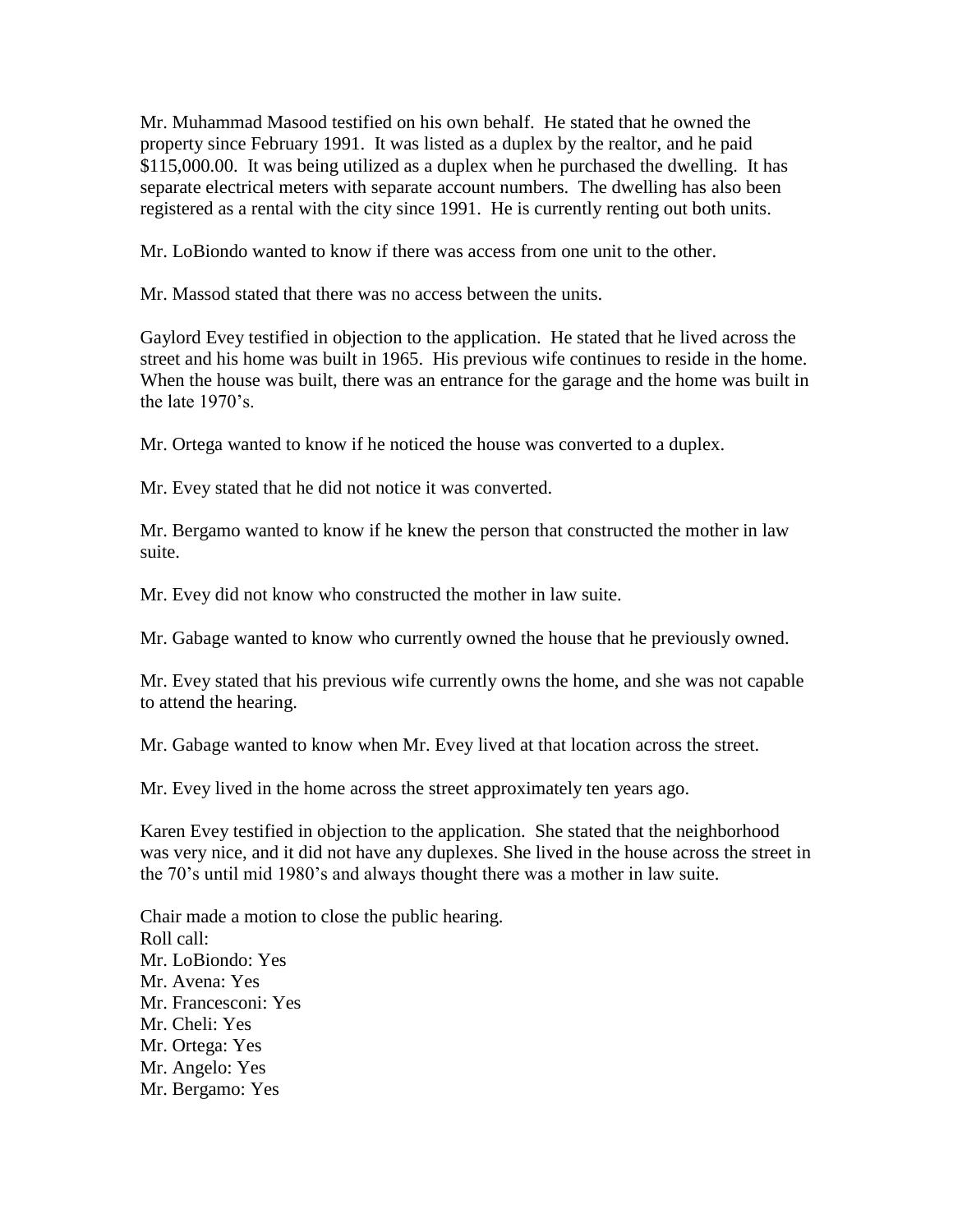Mr. Muhammad Masood testified on his own behalf. He stated that he owned the property since February 1991. It was listed as a duplex by the realtor, and he paid \$115,000.00. It was being utilized as a duplex when he purchased the dwelling. It has separate electrical meters with separate account numbers. The dwelling has also been registered as a rental with the city since 1991. He is currently renting out both units.

Mr. LoBiondo wanted to know if there was access from one unit to the other.

Mr. Massod stated that there was no access between the units.

Gaylord Evey testified in objection to the application. He stated that he lived across the street and his home was built in 1965. His previous wife continues to reside in the home. When the house was built, there was an entrance for the garage and the home was built in the late 1970's.

Mr. Ortega wanted to know if he noticed the house was converted to a duplex.

Mr. Evey stated that he did not notice it was converted.

Mr. Bergamo wanted to know if he knew the person that constructed the mother in law suite.

Mr. Evey did not know who constructed the mother in law suite.

Mr. Gabage wanted to know who currently owned the house that he previously owned.

Mr. Evey stated that his previous wife currently owns the home, and she was not capable to attend the hearing.

Mr. Gabage wanted to know when Mr. Evey lived at that location across the street.

Mr. Evey lived in the home across the street approximately ten years ago.

Karen Evey testified in objection to the application. She stated that the neighborhood was very nice, and it did not have any duplexes. She lived in the house across the street in the 70's until mid 1980's and always thought there was a mother in law suite.

Chair made a motion to close the public hearing. Roll call: Mr. LoBiondo: Yes Mr. Avena: Yes Mr. Francesconi: Yes Mr. Cheli: Yes Mr. Ortega: Yes Mr. Angelo: Yes Mr. Bergamo: Yes